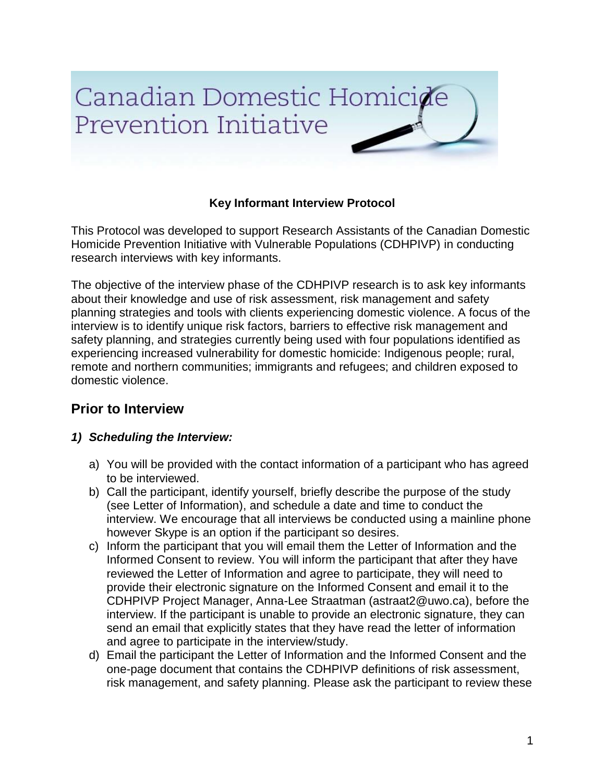# Canadian Domestic Homicide Prevention Initiative

## **Key Informant Interview Protocol**

This Protocol was developed to support Research Assistants of the Canadian Domestic Homicide Prevention Initiative with Vulnerable Populations (CDHPIVP) in conducting research interviews with key informants.

The objective of the interview phase of the CDHPIVP research is to ask key informants about their knowledge and use of risk assessment, risk management and safety planning strategies and tools with clients experiencing domestic violence. A focus of the interview is to identify unique risk factors, barriers to effective risk management and safety planning, and strategies currently being used with four populations identified as experiencing increased vulnerability for domestic homicide: Indigenous people; rural, remote and northern communities; immigrants and refugees; and children exposed to domestic violence.

## **Prior to Interview**

## *1) Scheduling the Interview:*

- a) You will be provided with the contact information of a participant who has agreed to be interviewed.
- b) Call the participant, identify yourself, briefly describe the purpose of the study (see Letter of Information), and schedule a date and time to conduct the interview. We encourage that all interviews be conducted using a mainline phone however Skype is an option if the participant so desires.
- c) Inform the participant that you will email them the Letter of Information and the Informed Consent to review. You will inform the participant that after they have reviewed the Letter of Information and agree to participate, they will need to provide their electronic signature on the Informed Consent and email it to the CDHPIVP Project Manager, Anna-Lee Straatman (astraat2@uwo.ca), before the interview. If the participant is unable to provide an electronic signature, they can send an email that explicitly states that they have read the letter of information and agree to participate in the interview/study.
- d) Email the participant the Letter of Information and the Informed Consent and the one-page document that contains the CDHPIVP definitions of risk assessment, risk management, and safety planning. Please ask the participant to review these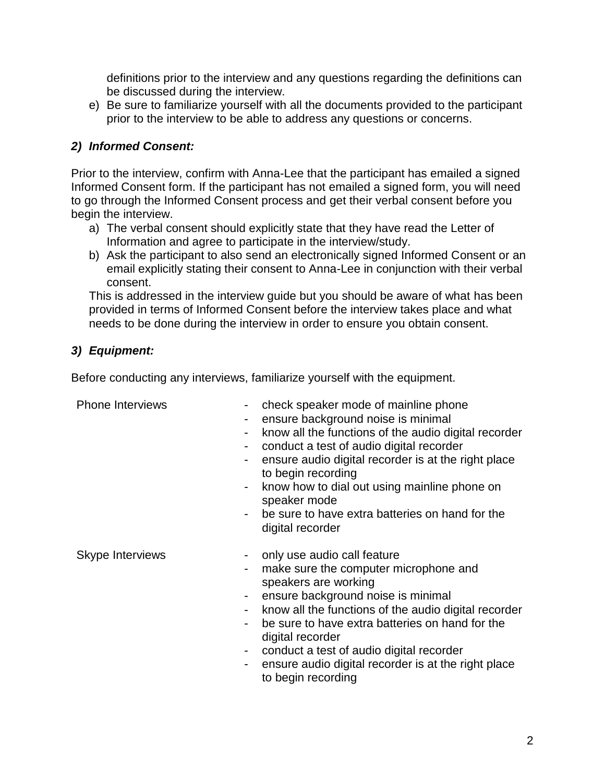definitions prior to the interview and any questions regarding the definitions can be discussed during the interview.

e) Be sure to familiarize yourself with all the documents provided to the participant prior to the interview to be able to address any questions or concerns.

## *2) Informed Consent:*

Prior to the interview, confirm with Anna-Lee that the participant has emailed a signed Informed Consent form. If the participant has not emailed a signed form, you will need to go through the Informed Consent process and get their verbal consent before you begin the interview.

- a) The verbal consent should explicitly state that they have read the Letter of Information and agree to participate in the interview/study.
- b) Ask the participant to also send an electronically signed Informed Consent or an email explicitly stating their consent to Anna-Lee in conjunction with their verbal consent.

This is addressed in the interview guide but you should be aware of what has been provided in terms of Informed Consent before the interview takes place and what needs to be done during the interview in order to ensure you obtain consent.

## *3) Equipment:*

Before conducting any interviews, familiarize yourself with the equipment.

- Phone Interviews check speaker mode of mainline phone
	- ensure background noise is minimal
	- know all the functions of the audio digital recorder
	- conduct a test of audio digital recorder
	- ensure audio digital recorder is at the right place to begin recording
	- know how to dial out using mainline phone on speaker mode
	- be sure to have extra batteries on hand for the digital recorder

- Skype Interviews **Fig. 2018** only use audio call feature
	- make sure the computer microphone and speakers are working
	- ensure background noise is minimal
	- know all the functions of the audio digital recorder
	- be sure to have extra batteries on hand for the digital recorder
	- conduct a test of audio digital recorder
	- ensure audio digital recorder is at the right place to begin recording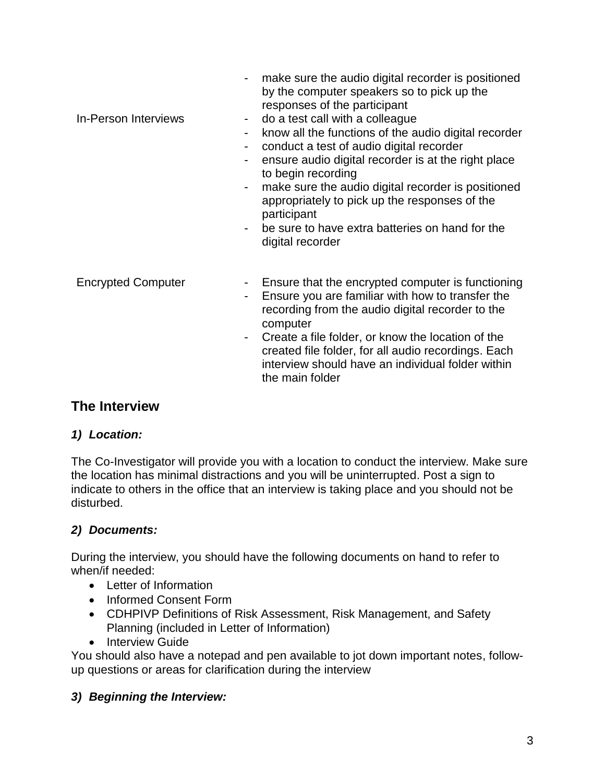| <b>In-Person Interviews</b> | make sure the audio digital recorder is positioned<br>by the computer speakers so to pick up the<br>responses of the participant<br>do a test call with a colleague<br>$\blacksquare$<br>know all the functions of the audio digital recorder<br>conduct a test of audio digital recorder<br>ensure audio digital recorder is at the right place<br>to begin recording<br>make sure the audio digital recorder is positioned<br>$\qquad \qquad \blacksquare$<br>appropriately to pick up the responses of the<br>participant<br>be sure to have extra batteries on hand for the<br>digital recorder |
|-----------------------------|-----------------------------------------------------------------------------------------------------------------------------------------------------------------------------------------------------------------------------------------------------------------------------------------------------------------------------------------------------------------------------------------------------------------------------------------------------------------------------------------------------------------------------------------------------------------------------------------------------|
| <b>Encrypted Computer</b>   | Ensure that the encrypted computer is functioning<br>$\blacksquare$<br>Ensure you are familiar with how to transfer the<br>-<br>recording from the audio digital recorder to the<br>computer<br>Create a file folder, or know the location of the<br>$\overline{\phantom{a}}$<br>created file folder, for all audio recordings. Each<br>interview should have an individual folder within<br>the main folder                                                                                                                                                                                        |

# **The Interview**

## *1) Location:*

The Co-Investigator will provide you with a location to conduct the interview. Make sure the location has minimal distractions and you will be uninterrupted. Post a sign to indicate to others in the office that an interview is taking place and you should not be disturbed.

## *2) Documents:*

During the interview, you should have the following documents on hand to refer to when/if needed:

- Letter of Information
- Informed Consent Form
- CDHPIVP Definitions of Risk Assessment, Risk Management, and Safety Planning (included in Letter of Information)
- Interview Guide

You should also have a notepad and pen available to jot down important notes, followup questions or areas for clarification during the interview

## *3) Beginning the Interview:*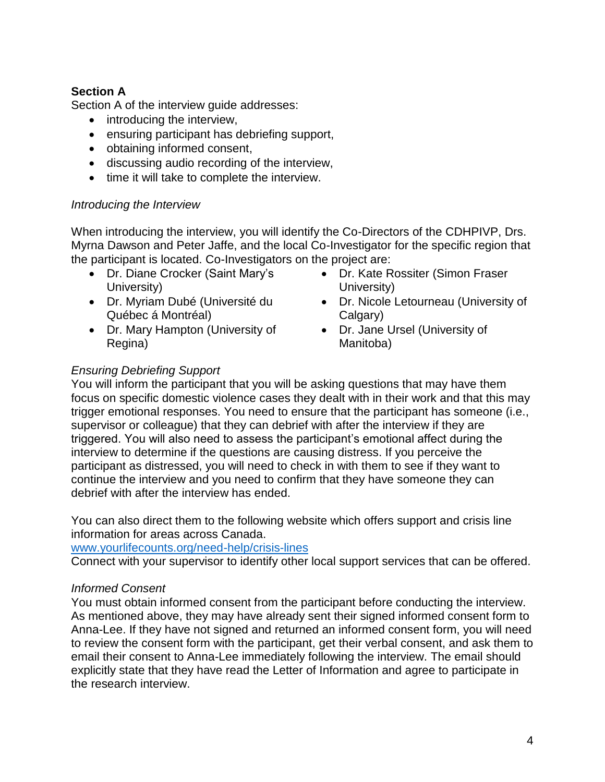## **Section A**

Section A of the interview guide addresses:

- introducing the interview,
- ensuring participant has debriefing support,
- obtaining informed consent,
- discussing audio recording of the interview,
- time it will take to complete the interview.

#### *Introducing the Interview*

When introducing the interview, you will identify the Co-Directors of the CDHPIVP, Drs. Myrna Dawson and Peter Jaffe, and the local Co-Investigator for the specific region that the participant is located. Co-Investigators on the project are:

- Dr. Diane Crocker (Saint Mary's University)
- Dr. Myriam Dubé (Université du Québec á Montréal)
- Dr. Mary Hampton (University of Regina)
- Dr. Kate Rossiter (Simon Fraser University)
- Dr. Nicole Letourneau (University of Calgary)
- Dr. Jane Ursel (University of Manitoba)

## *Ensuring Debriefing Support*

You will inform the participant that you will be asking questions that may have them focus on specific domestic violence cases they dealt with in their work and that this may trigger emotional responses. You need to ensure that the participant has someone (i.e., supervisor or colleague) that they can debrief with after the interview if they are triggered. You will also need to assess the participant's emotional affect during the interview to determine if the questions are causing distress. If you perceive the participant as distressed, you will need to check in with them to see if they want to continue the interview and you need to confirm that they have someone they can debrief with after the interview has ended.

You can also direct them to the following website which offers support and crisis line information for areas across Canada.

[www.yourlifecounts.org/need-help/crisis-lines](http://www.yourlifecounts.org/need-help/crisis-lines)

Connect with your supervisor to identify other local support services that can be offered.

## *Informed Consent*

You must obtain informed consent from the participant before conducting the interview. As mentioned above, they may have already sent their signed informed consent form to Anna-Lee. If they have not signed and returned an informed consent form, you will need to review the consent form with the participant, get their verbal consent, and ask them to email their consent to Anna-Lee immediately following the interview. The email should explicitly state that they have read the Letter of Information and agree to participate in the research interview.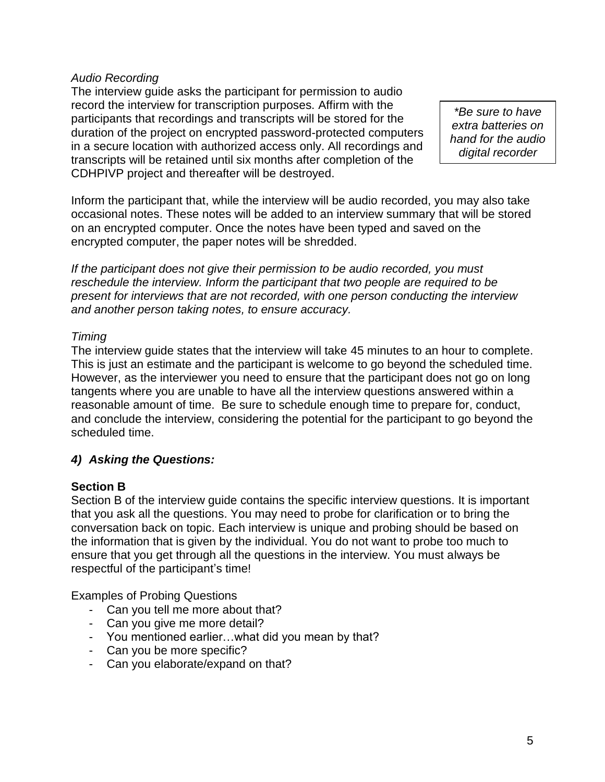#### *Audio Recording*

The interview guide asks the participant for permission to audio record the interview for transcription purposes. Affirm with the participants that recordings and transcripts will be stored for the duration of the project on encrypted password-protected computers in a secure location with authorized access only. All recordings and transcripts will be retained until six months after completion of the CDHPIVP project and thereafter will be destroyed.

*\*Be sure to have extra batteries on hand for the audio digital recorder*

Inform the participant that, while the interview will be audio recorded, you may also take occasional notes. These notes will be added to an interview summary that will be stored on an encrypted computer. Once the notes have been typed and saved on the encrypted computer, the paper notes will be shredded.

*If the participant does not give their permission to be audio recorded, you must reschedule the interview. Inform the participant that two people are required to be present for interviews that are not recorded, with one person conducting the interview and another person taking notes, to ensure accuracy.* 

#### *Timing*

The interview guide states that the interview will take 45 minutes to an hour to complete. This is just an estimate and the participant is welcome to go beyond the scheduled time. However, as the interviewer you need to ensure that the participant does not go on long tangents where you are unable to have all the interview questions answered within a reasonable amount of time. Be sure to schedule enough time to prepare for, conduct, and conclude the interview, considering the potential for the participant to go beyond the scheduled time.

## *4) Asking the Questions:*

## **Section B**

Section B of the interview guide contains the specific interview questions. It is important that you ask all the questions. You may need to probe for clarification or to bring the conversation back on topic. Each interview is unique and probing should be based on the information that is given by the individual. You do not want to probe too much to ensure that you get through all the questions in the interview. You must always be respectful of the participant's time!

Examples of Probing Questions

- Can you tell me more about that?
- Can you give me more detail?
- You mentioned earlier…what did you mean by that?
- Can you be more specific?
- Can you elaborate/expand on that?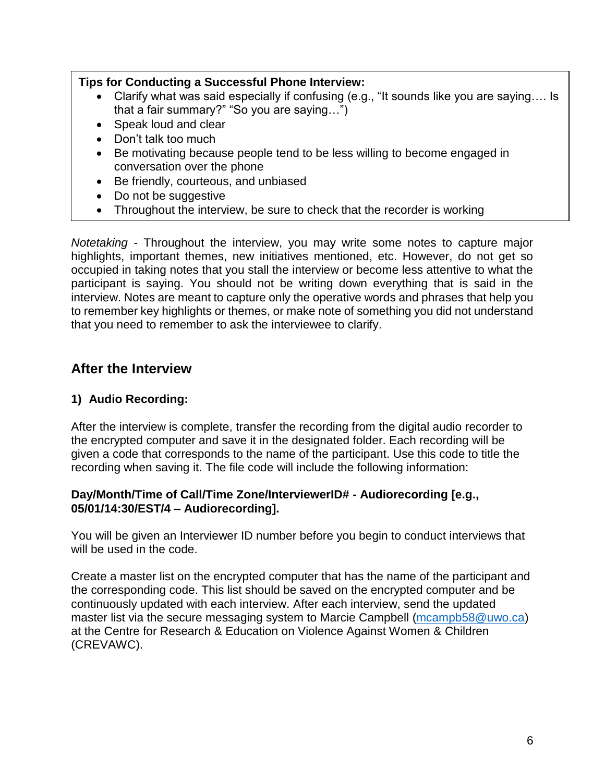## **Tips for Conducting a Successful Phone Interview:**

- Clarify what was said especially if confusing (e.g., "It sounds like you are saying…. Is that a fair summary?" "So you are saying…")
- Speak loud and clear
- Don't talk too much
- Be motivating because people tend to be less willing to become engaged in conversation over the phone
- Be friendly, courteous, and unbiased
- Do not be suggestive
- Throughout the interview, be sure to check that the recorder is working

*Notetaking* - Throughout the interview, you may write some notes to capture major highlights, important themes, new initiatives mentioned, etc. However, do not get so occupied in taking notes that you stall the interview or become less attentive to what the participant is saying. You should not be writing down everything that is said in the interview. Notes are meant to capture only the operative words and phrases that help you to remember key highlights or themes, or make note of something you did not understand that you need to remember to ask the interviewee to clarify.

## **After the Interview**

## **1) Audio Recording:**

After the interview is complete, transfer the recording from the digital audio recorder to the encrypted computer and save it in the designated folder. Each recording will be given a code that corresponds to the name of the participant. Use this code to title the recording when saving it. The file code will include the following information:

#### **Day/Month/Time of Call/Time Zone/InterviewerID# - Audiorecording [e.g., 05/01/14:30/EST/4 – Audiorecording].**

You will be given an Interviewer ID number before you begin to conduct interviews that will be used in the code.

Create a master list on the encrypted computer that has the name of the participant and the corresponding code. This list should be saved on the encrypted computer and be continuously updated with each interview. After each interview, send the updated master list via the secure messaging system to Marcie Campbell [\(mcampb58@uwo.ca\)](mailto:mcampb58@uwo.ca) at the Centre for Research & Education on Violence Against Women & Children (CREVAWC).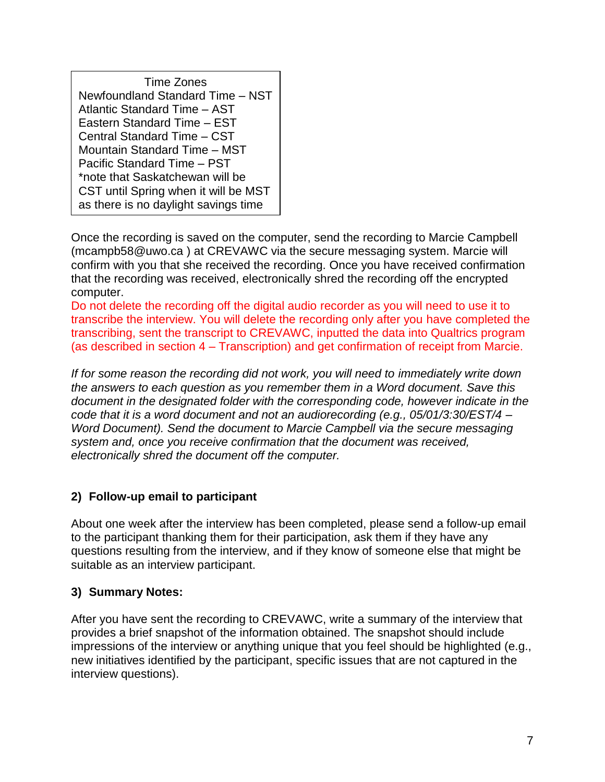| Time Zones                           |  |
|--------------------------------------|--|
| Newfoundland Standard Time - NST     |  |
| Atlantic Standard Time - AST         |  |
| Eastern Standard Time - EST          |  |
| Central Standard Time - CST          |  |
| Mountain Standard Time - MST         |  |
| Pacific Standard Time - PST          |  |
| *note that Saskatchewan will be      |  |
| CST until Spring when it will be MST |  |
| as there is no daylight savings time |  |

Once the recording is saved on the computer, send the recording to Marcie Campbell (mcampb58@uwo.ca ) at CREVAWC via the secure messaging system. Marcie will confirm with you that she received the recording. Once you have received confirmation that the recording was received, electronically shred the recording off the encrypted computer.

Do not delete the recording off the digital audio recorder as you will need to use it to transcribe the interview. You will delete the recording only after you have completed the transcribing, sent the transcript to CREVAWC, inputted the data into Qualtrics program (as described in section 4 – Transcription) and get confirmation of receipt from Marcie.

*If for some reason the recording did not work, you will need to immediately write down the answers to each question as you remember them in a Word document. Save this document in the designated folder with the corresponding code, however indicate in the code that it is a word document and not an audiorecording (e.g., 05/01/3:30/EST/4 – Word Document). Send the document to Marcie Campbell via the secure messaging system and, once you receive confirmation that the document was received, electronically shred the document off the computer.*

## **2) Follow-up email to participant**

About one week after the interview has been completed, please send a follow-up email to the participant thanking them for their participation, ask them if they have any questions resulting from the interview, and if they know of someone else that might be suitable as an interview participant.

## **3) Summary Notes:**

After you have sent the recording to CREVAWC, write a summary of the interview that provides a brief snapshot of the information obtained. The snapshot should include impressions of the interview or anything unique that you feel should be highlighted (e.g., new initiatives identified by the participant, specific issues that are not captured in the interview questions).